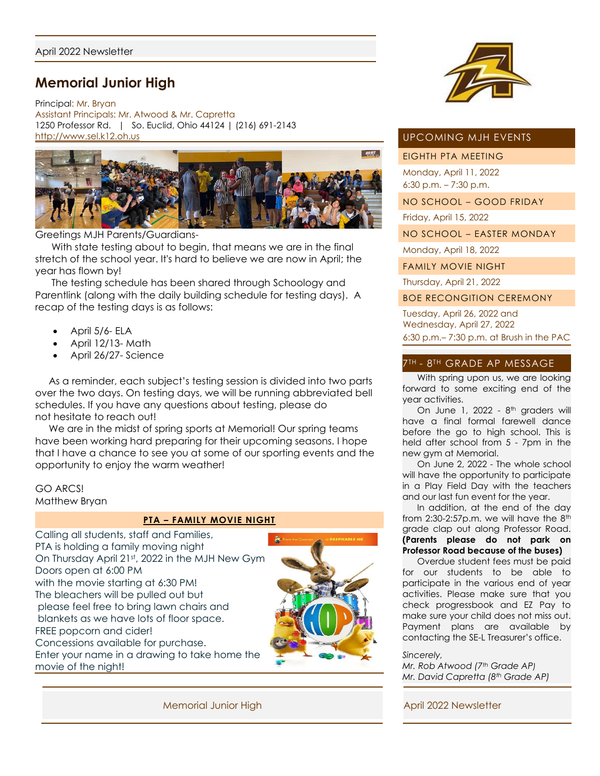# **Memorial Junior High**

Principal: Mr. Bryan Assistant Principals: Mr. Atwood & Mr. Capretta 1250 Professor Rd. | So. Euclid, Ohio 44124 | (216) 691-2143 [http://www.sel.k12.oh.us](http://www.sel.k12.oh.us/)



Greetings MJH Parents/Guardians-

 With state testing about to begin, that means we are in the final stretch of the school year. It's hard to believe we are now in April; the year has flown by!

 The testing schedule has been shared through Schoology and Parentlink (along with the daily building schedule for testing days). A recap of the testing days is as follows:

- April 5/6- ELA
- April 12/13- Math
- April 26/27- Science

 As a reminder, each subject's testing session is divided into two parts over the two days. On testing days, we will be running abbreviated bell schedules. If you have any questions about testing, please do not hesitate to reach out!

We are in the midst of spring sports at Memorial! Our spring teams have been working hard preparing for their upcoming seasons. I hope that I have a chance to see you at some of our sporting events and the opportunity to enjoy the warm weather!

# GO ARCS! Matthew Bryan

## **PTA – FAMILY MOVIE NIGHT**

Calling all students, staff and Families, PTA is holding a family moving night On Thursday April 21st, 2022 in the MJH New Gym Doors open at 6:00 PM with the movie starting at 6:30 PM! The bleachers will be pulled out but please feel free to bring lawn chairs and blankets as we have lots of floor space. FREE popcorn and cider! Concessions available for purchase. Enter your name in a drawing to take home the movie of the night!





## UPCOMING MJH EVENTS

## EIGHTH PTA MEETING

Monday, April 11, 2022 6:30 p.m. – 7:30 p.m.

NO SCHOOL – GOOD FRIDAY

Friday, April 15, 2022

NO SCHOOL – EASTER MONDAY

Monday, April 18, 2022

FAMILY MOVIE NIGHT

Thursday, April 21, 2022

BOE RECONGITION CEREMONY

Tuesday, April 26, 2022 and Wednesday, April 27, 2022 6:30 p.m.– 7:30 p.m. at Brush in the PAC

# 7TH - 8TH GRADE AP MESSAGE

With spring upon us, we are looking forward to some exciting end of the year activities.

On June 1, 2022 - 8<sup>th</sup> graders will have a final formal farewell dance before the go to high school. This is held after school from 5 - 7pm in the new gym at Memorial.

 On June 2, 2022 - The whole school will have the opportunity to participate in a Play Field Day with the teachers and our last fun event for the year.

 In addition, at the end of the day from  $2:30-2:57p.m.$  we will have the  $8<sup>th</sup>$ grade clap out along Professor Road. **(Parents please do not park on Professor Road because of the buses)**

 Overdue student fees must be paid for our students to be able to participate in the various end of year activities. Please make sure that you check progressbook and EZ Pay to make sure your child does not miss out. Payment plans are available by contacting the SE-L Treasurer's office.

*Sincerely,*

*Mr. Rob Atwood (7th Grade AP) Mr. David Capretta (8th Grade AP)*

Memorial Junior High April 2022 Newsletter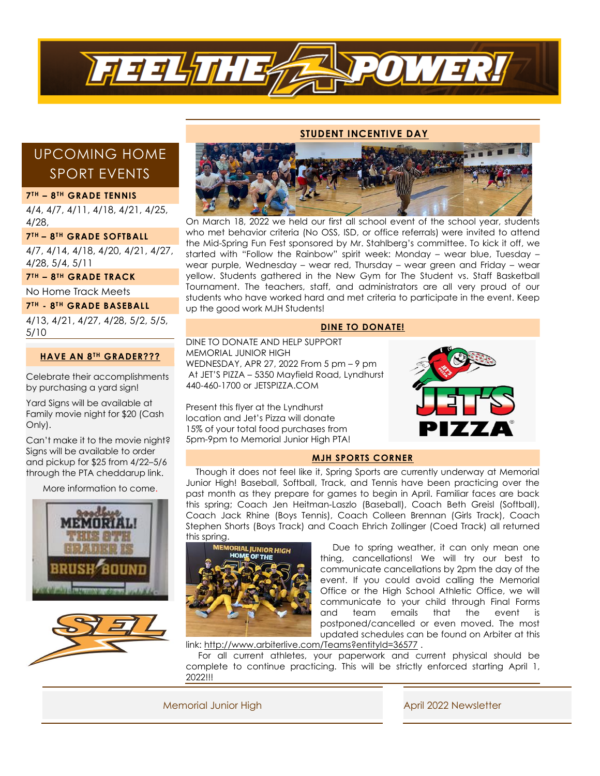

#### **STUDENT INCENTIVE DAY**

# UPCOMING HOME SPORT EVENTS

#### **7 TH – 8 TH GRADE TENNIS**

4/4, 4/7, 4/11, 4/18, 4/21, 4/25, 4/28,

### **7TH – 8TH GRADE SOFTBALL**

4/7, 4/14, 4/18, 4/20, 4/21, 4/27, 4/28, 5/4, 5/11

**7TH – 8TH GRADE TRACK**

No Home Track Meets

**7 TH - 8 T H GRADE BASEBALL**

4/13, 4/21, 4/27, 4/28, 5/2, 5/5, 5/10

## **HAVE AN 8TH GRADER???**

Celebrate their accomplishments by purchasing a yard sign!

Yard Signs will be available at Family movie night for \$20 (Cash Only).

Can't make it to the movie night? Signs will be available to order and pickup for \$25 from 4/22–5/6 through the PTA cheddarup link.

More information to come.







On March 18, 2022 we held our first all school event of the school year, students who met behavior criteria (No OSS, ISD, or office referrals) were invited to attend the Mid-Spring Fun Fest sponsored by Mr. Stahlberg's committee. To kick it off, we started with "Follow the Rainbow" spirit week: Monday – wear blue, Tuesday – wear purple, Wednesday – wear red, Thursday – wear green and Friday – wear yellow. Students gathered in the New Gym for The Student vs. Staff Basketball Tournament. The teachers, staff, and administrators are all very proud of our students who have worked hard and met criteria to participate in the event. Keep up the good work MJH Students!

### **DINE TO DONATE!**

DINE TO DONATE AND HELP SUPPORT MEMORIAL JUNIOR HIGH WEDNESDAY, APR 27, 2022 From 5 pm – 9 pm At JET'S PIZZA – 5350 Mayfield Road, Lyndhurst 440-460-1700 or JETSPIZZA.COM

Present this flyer at the Lyndhurst location and Jet's Pizza will donate 15% of your total food purchases from 5pm-9pm to Memorial Junior High PTA!



### **MJH SPORTS CORNER**

 Though it does not feel like it, Spring Sports are currently underway at Memorial Junior High! Baseball, Softball, Track, and Tennis have been practicing over the past month as they prepare for games to begin in April. Familiar faces are back this spring; Coach Jen Heitman-Laszlo (Baseball), Coach Beth Greisl (Softball), Coach Jack Rhine (Boys Tennis), Coach Colleen Brennan (Girls Track), Coach Stephen Shorts (Boys Track) and Coach Ehrich Zollinger (Coed Track) all returned this spring.



 Due to spring weather, it can only mean one thing, cancellations! We will try our best to communicate cancellations by 2pm the day of the event. If you could avoid calling the Memorial Office or the High School Athletic Office, we will communicate to your child through Final Forms and team emails that the event is postponed/cancelled or even moved. The most updated schedules can be found on Arbiter at this

link:<http://www.arbiterlive.com/Teams?entityId=36577>.

 For all current athletes, your paperwork and current physical should be complete to continue practicing. This will be strictly enforced starting April 1, 2022!!!

Memorial Junior High April 2022 Newsletter